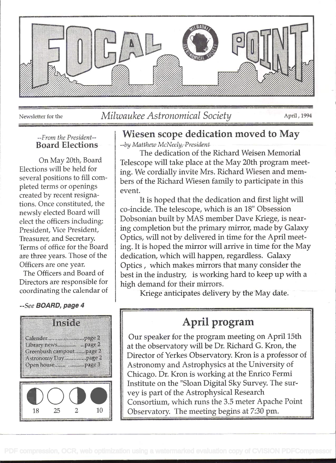

### Newsletter for the *Milwaukee Astronomical Society April , 1994*

#### --From the President-- Board Elections

on May 20th, Board Elections will be held for several positions to fill completed terrns or openings created by recent resignations. Once constituted, the newsly elected Board will elect the officers including: President, Vice President, Treasurer, and Secretary Terms of office for the Board are three years. Those of the Officers are one year.

The Officers and Board of Directors are responsible for coordinating the calendar of

#### --See BOARD, page 4



## Wiesen scope dedication moved to May

--by Matthew McNeely, President-

The dedication of the Richard Weisen Memorial Telescope will take place at the May 20th program meeting. We cordially invite Mrs. Richard Wiesen and members of the Richard Wiesen family to participate in this event.

It is hoped that the dedication and first light will co-incide. The telescope, which is an 18" Obsession Dobsonian built by MAS member Dave Kriege, is nearing completion but the primary mirror, made by Galaxy Optics, will not by delivered in time for the April meeting. It is hoped the mirror will arrive in time for the May dedication, which will happen, regardless. Galaxy Optics , which makes mirrors that many consider the best in the industry, is working hard to keep up with a high demand for their mirrors.

Kriege anticipates delivery by the May date.

## April program

Our speaker for the program meeting on April 15th at the observatory will be Dr. Richard G. Kron, the Director of Yerkes Observatory. Kron is a professor of Astronomy and Astrophysics at the University of Chicago. Dr. Kron is working at the Enrico Fermi Institute on the "Sloan Digital Sky Survey. The survey is part of the Astrophysical Research Consortium, which runs the 3.5 meter Apache Point Observatory. The meeting begins at 7:30 pm.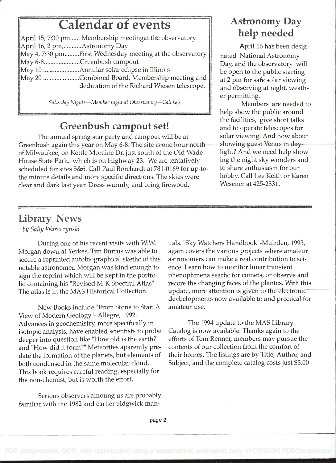# Calendar of events

| April 15, 7:30 pm Membership meetingat the observatory    |                     |
|-----------------------------------------------------------|---------------------|
| April 16, 2 pm,Astronomy Day                              |                     |
| May 4, 7:30 pmFirst Wednesday meeting at the observatory. | $\overline{n}$      |
| May 6-8Greenbush campout                                  | $\overline{\Gamma}$ |
|                                                           | b                   |
| May 20 Combined Board, Membership meeting and             | $\mathbf{a}$        |
| dedication of the Richard Wiesen telescope.               | a:                  |
|                                                           |                     |

Saturday Nights-Member night at Observatory-Call key

## Greenbush campout set!

The annual spring star party and campout will be at Greenbush again this year on May 6-8. The site is one hour north of Milwaukee, on Kettle Moraine Dr. just south of the Old Wade House State Park, which is on Highway 23. We are tentatively scheduled for sites 5&6. Call Paul Borchardt at 781-0169 for up-tothe minute details and more specific directions. The skies were clear and dark last year. Dress warmly, and bring firewood.

## Astronomy Day help needed

April 16 has been designated National Astronomy Day, and the observatory will be open to the public starting at 2 pm for safe solar viewing and observing at night, weather permitting.

Members are needed to help show the public around the facilities, give short talks and to operate telescopes for solar viewing. And how about showing guest Venus in daylight? And we need help show ing the night sky wonders and to share enthusiasm for our hobby. Call Lee Keith or Karen Wesener at 425-2331.

## Library News

--by Sally Waraczynski

During one of his recent visits with W.W Morgan down at Yerkes, Tim Burrus was able to secure a reprinted autobiographical skethc of this notable astronomer. Morgan was kind enough to sign the reprint which will be kept in the portfolio containing his "Revised M-K Spectral Atlas" The atlas is in the MAS Historical Collection.

New Books include "From Stone to Star: A amateur use. View of Modern Geology"- Allegre, 1992. Advances in geochemistry, more specifically in isotopic analysis, have enabled scientists to probe deeper into question like "How old is the earth?" and "How did it form?" Meteorites aparently predate the formation of the planets, but elements of both condensed in the same molecular cloud. This book requires careful reading, especially for the non-chemist, but is worth the effort.

Serious observers amoung us are probably familiar with the 1982 and earlier Sidgwick manuals . "Sky Watchers Handbook"-Muirden, 1993, again covers the various projects where amateur astronomers can make a real contribution to science. Learn how to monitor lunar transient phenophmena searhc for comets, or observe and recore the changing faces of the plantes. With this update, more attention is given to the electronic devbelopments now available to and prectical for

The 1994 update to the MAS Library Catalog is now available. Thanks again to the efforts of Tom Renner, members may pursue the contents of our collection from the comfort of their homes. The listings are by Title, Author, and Subject, and the complete catalog costs just \$3.00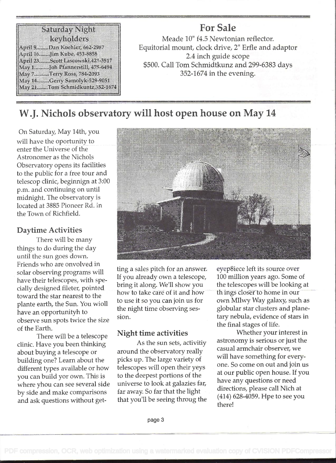#### Samany Night kaninkleis April 9........Dan Koehler, 662-2987 April 16. ...... Jim Kube, 458-8858 April 23. ...... Scott Lascowski, 421-3517 May 1........... Joh Pfannerstill, 475-6494 May 7.........Terry Ross, 784-2093 May 14.......Cerry Samolyk-529-9051 May 21.......Tom Schmidkuntz,352-1674

### For Sale Meade 10" f4.5 Newtonian reflector. Equitorial mount, clock drive, 2" Erfie and adaptor 2.4 inch guide scope \$500. Call Tom Schmidtkunz and 299-6383 days 352-1674 in the evening.

## W.J. Nichols observatory will host open house on May 14

on Saturday, May 14th, you will have the oportunity to enter the Universe of the Astronomer as the Nichols Observatory opens its facilities to the public for a free tour and telescop clinic, beginnign at 3:00 p.m. and continuing on until midnight. The observatory is located at 3885 Pioneer Rd. in the Town of Richfield.

### Daytime Activities

There will be many things to do during the day until the sun goes down. Friends who are onvolved in solar observing programs will have their telescopes, with specially designed fileter, pointed toward the star nearest to the plante earth, the Sun. You wioll have an opportunityh to observe sun spots twice the size of the Earth.

There will be a telescope clinic. Have you been thinking about buying a telescope or building one? Learn about the different types available or how you can build yor own. This is where yhou can see several side by side and make comparisons and ask questions without get-



ting a sales pitch for an answer. If you already own a telescope, bring it along. We'll show you how to take care of it and how to use it so you can join us for the night time observing session.

### Night time activities

As the sun sets, activitiy around the observatory really picks up. The large variety of telescopes will open their yeys to the deepest portions of the universe to look at galazies far, far away. So far that the light that you'll be seeing throug the eyep8iece left its source over 100 million years ago. Some of the telescopes will be looking at th ings closer to home in our own MIlwy Way galaxy, such as globular star clusters and planetary nebula, evidence of stars in the final stages of life.

Whether your interest in astronomy is serious or just the casual armchair observer, we will have something for everyone. So come on out and join us at our public open house. If you have any questions or need directions, please call Nich at (414) 628-4059. Hpe to see you there!